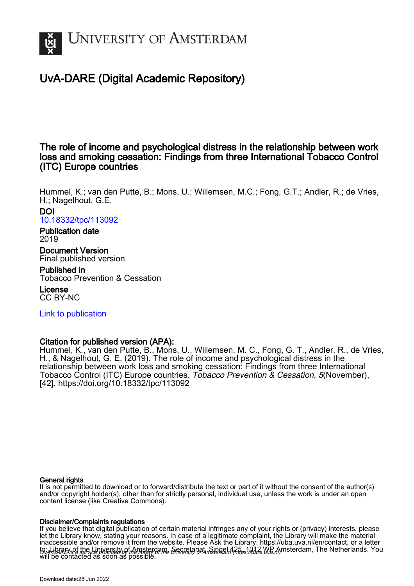

# UvA-DARE (Digital Academic Repository)

# The role of income and psychological distress in the relationship between work loss and smoking cessation: Findings from three International Tobacco Control (ITC) Europe countries

Hummel, K.; van den Putte, B.; Mons, U.; Willemsen, M.C.; Fong, G.T.; Andler, R.; de Vries, H.; Nagelhout, G.E.

#### DOI [10.18332/tpc/113092](https://doi.org/10.18332/tpc/113092)

#### Publication date 2019

Document Version Final published version

Published in Tobacco Prevention & Cessation

License CC BY-NC

[Link to publication](https://dare.uva.nl/personal/pure/en/publications/the-role-of-income-and-psychological-distress-in-the-relationship-between-work-loss-and-smoking-cessation-findings-from-three-international-tobacco-control-itc-europe-countries(f8f617bc-a346-437c-aab6-a7b32da168c9).html)

# Citation for published version (APA):

Hummel, K., van den Putte, B., Mons, U., Willemsen, M. C., Fong, G. T., Andler, R., de Vries, H., & Nagelhout, G. E. (2019). The role of income and psychological distress in the relationship between work loss and smoking cessation: Findings from three International Tobacco Control (ITC) Europe countries. Tobacco Prevention & Cessation, 5(November), [42]. <https://doi.org/10.18332/tpc/113092>

#### General rights

It is not permitted to download or to forward/distribute the text or part of it without the consent of the author(s) and/or copyright holder(s), other than for strictly personal, individual use, unless the work is under an open content license (like Creative Commons).

#### Disclaimer/Complaints regulations

UvA-DARE is a service provided by the library of the University of Amsterdam (http*s*://dare.uva.nl) If you believe that digital publication of certain material infringes any of your rights or (privacy) interests, please let the Library know, stating your reasons. In case of a legitimate complaint, the Library will make the material inaccessible and/or remove it from the website. Please Ask the Library: https://uba.uva.nl/en/contact, or a letter to: Library of the Linixersity of Amsterdam, Secretariat, Singel 425, 1012 WB Amsterdam, The Netherlands. You will be contacted as soon as possible.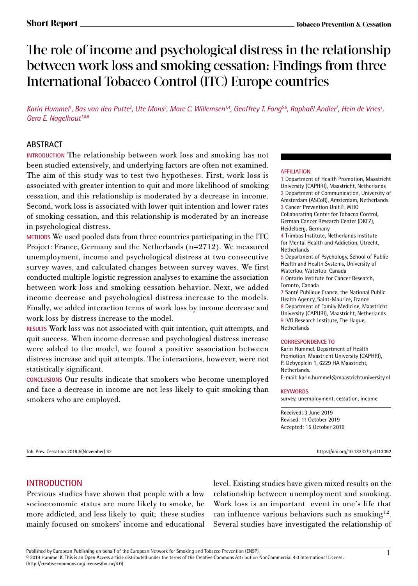# The role of income and psychological distress in the relationship between work loss and smoking cessation: Findings from three International Tobacco Control (ITC) Europe countries

Karin Hummel', Bas van den Putte<sup>2</sup>, Ute Mons<sup>3</sup>, Marc C. Willemsen<sup>1,4</sup>, Geoffrey T. Fong<sup>s,6</sup>, Raphaël Andler<sup>7</sup>, Hein de Vries', Gera E. Nagelhout<sup>1,8,9</sup>

# **ABSTRACT**

**INTRODUCTION** The relationship between work loss and smoking has not been studied extensively, and underlying factors are often not examined. The aim of this study was to test two hypotheses. First, work loss is associated with greater intention to quit and more likelihood of smoking cessation, and this relationship is moderated by a decrease in income. Second, work loss is associated with lower quit intention and lower rates of smoking cessation, and this relationship is moderated by an increase in psychological distress.

**METHODS** We used pooled data from three countries participating in the ITC Project: France, Germany and the Netherlands (n=2712). We measured unemployment, income and psychological distress at two consecutive survey waves, and calculated changes between survey waves. We first conducted multiple logistic regression analyses to examine the association between work loss and smoking cessation behavior. Next, we added income decrease and psychological distress increase to the models. Finally, we added interaction terms of work loss by income decrease and work loss by distress increase to the model.

**RESULTS** Work loss was not associated with quit intention, quit attempts, and quit success. When income decrease and psychological distress increase were added to the model, we found a positive association between distress increase and quit attempts. The interactions, however, were not statistically significant.

**CONCLUSIONS** Our results indicate that smokers who become unemployed and face a decrease in income are not less likely to quit smoking than smokers who are employed.

#### **AFFILIATION**

1 Department of Health Promotion, Maastricht University (CAPHRI), Maastricht, Netherlands 2 Department of Communication, University of Amsterdam (ASCoR), Amsterdam, Netherlands 3 Cancer Prevention Unit & WHO Collaborating Center for Tobacco Control, German Cancer Research Center (DKFZ), Heidelberg, Germany

4 Trimbos Institute, Netherlands Institute for Mental Health and Addiction, Utrecht, **Netherlands** 

5 Department of Psychology, School of Public Health and Health Systems, University of Waterloo, Waterloo, Canada

6 Ontario Institute for Cancer Research, Toronto, Canada

7 Santé Publique France, the National Public Health Agency, Saint-Maurice, France 8 Department of Family Medicine, Maastricht University (CAPHRI), Maastricht, Netherlands 9 IVO Research Institute, The Hague, Netherlands

#### **CORRESPONDENCE TO**

Karin Hummel. Department of Health Promotion, Maastricht University (CAPHRI), P. Debyeplein 1, 6229 HA Maastricht, Netherlands. E-mail: karin.hummel@maastrichtuniversity.nl

#### **KEYWORDS**

survey, unemployment, cessation, income

Received: 3 June 2019 Revised: 11 October 2019 Accepted: 15 October 2019

Tob. Prev. Cessation 2019;5(November):42 https://doi.org/10.18332/tpc/113092

# **INTRODUCTION**

Previous studies have shown that people with a low socioeconomic status are more likely to smoke, be more addicted, and less likely to quit; these studies mainly focused on smokers' income and educational level. Existing studies have given mixed results on the relationship between unemployment and smoking. Work loss is an important event in one's life that can influence various behaviors such as smoking $1,2$ . Several studies have investigated the relationship of

Published by European Publishing on behalf of the European Network for Smoking and Tobacco Prevention (ENSP).<br>© 2019 Hummel K. This is an Open Access article distributed under the terms of the Creative Commons Attribution (http://creativecommons.org/licenses/by-nc/4.0)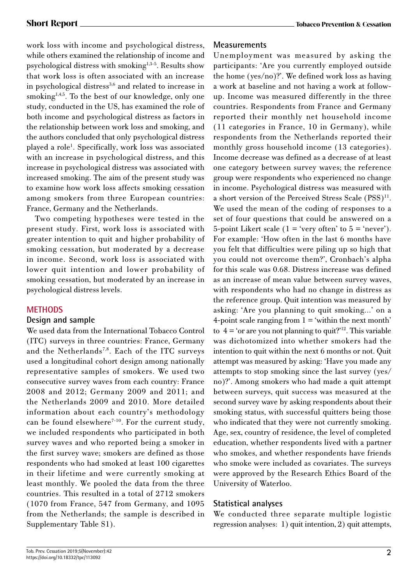work loss with income and psychological distress, while others examined the relationship of income and psychological distress with smoking<sup>1,3-5</sup>. Results show that work loss is often associated with an increase in psychological distress<sup>3,6</sup> and related to increase in smoking<sup>1,4,5</sup>. To the best of our knowledge, only one study, conducted in the US, has examined the role of both income and psychological distress as factors in the relationship between work loss and smoking, and the authors concluded that only psychological distress played a role<sup>1</sup>. Specifically, work loss was associated with an increase in psychological distress, and this increase in psychological distress was associated with increased smoking. The aim of the present study was to examine how work loss affects smoking cessation among smokers from three European countries: France, Germany and the Netherlands.

Two competing hypotheses were tested in the present study. First, work loss is associated with greater intention to quit and higher probability of smoking cessation, but moderated by a decrease in income. Second, work loss is associated with lower quit intention and lower probability of smoking cessation, but moderated by an increase in psychological distress levels.

# **METHODS**

# **Design and sample**

We used data from the International Tobacco Control (ITC) surveys in three countries: France, Germany and the Netherlands<sup>7,8</sup>. Each of the ITC surveys used a longitudinal cohort design among nationally representative samples of smokers. We used two consecutive survey waves from each country: France 2008 and 2012; Germany 2009 and 2011; and the Netherlands 2009 and 2010. More detailed information about each country's methodology can be found elsewhere<sup>7-10</sup>. For the current study, we included respondents who participated in both survey waves and who reported being a smoker in the first survey wave; smokers are defined as those respondents who had smoked at least 100 cigarettes in their lifetime and were currently smoking at least monthly. We pooled the data from the three countries. This resulted in a total of 2712 smokers (1070 from France, 547 from Germany, and 1095 from the Netherlands; the sample is described in Supplementary Table S1).

# **Measurements**

Unemployment was measured by asking the participants: 'Are you currently employed outside the home (yes/no)?'. We defined work loss as having a work at baseline and not having a work at followup. Income was measured differently in the three countries. Respondents from France and Germany reported their monthly net household income (11 categories in France, 10 in Germany), while respondents from the Netherlands reported their monthly gross household income (13 categories). Income decrease was defined as a decrease of at least one category between survey waves; the reference group were respondents who experienced no change in income. Psychological distress was measured with a short version of the Perceived Stress Scale (PSS)<sup>11</sup>. We used the mean of the coding of responses to a set of four questions that could be answered on a 5-point Likert scale  $(1 = 'very often' to 5 = 'never').$ For example: 'How often in the last 6 months have you felt that difficulties were piling up so high that you could not overcome them?', Cronbach's alpha for this scale was 0.68. Distress increase was defined as an increase of mean value between survey waves, with respondents who had no change in distress as the reference group. Quit intention was measured by asking: 'Are you planning to quit smoking…' on a 4-point scale ranging from  $1 = '$  within the next month' to  $4 = \text{`or}$  are you not planning to quit?<sup>'12</sup>. This variable was dichotomized into whether smokers had the intention to quit within the next 6 months or not. Quit attempt was measured by asking: 'Have you made any attempts to stop smoking since the last survey (yes/ no)?'. Among smokers who had made a quit attempt between surveys, quit success was measured at the second survey wave by asking respondents about their smoking status, with successful quitters being those who indicated that they were not currently smoking. Age, sex, country of residence, the level of completed education, whether respondents lived with a partner who smokes, and whether respondents have friends who smoke were included as covariates. The surveys were approved by the Research Ethics Board of the University of Waterloo.

# **Statistical analyses**

We conducted three separate multiple logistic regression analyses: 1) quit intention, 2) quit attempts,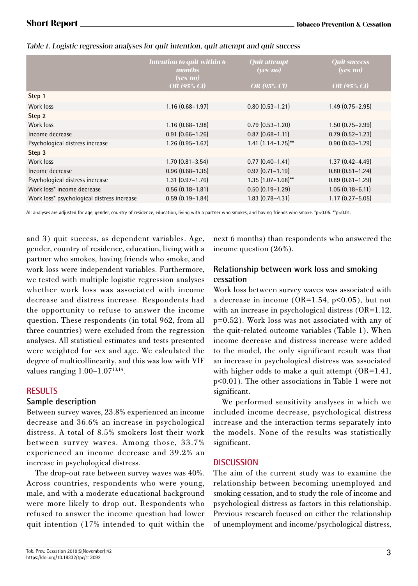| Intention to quit within 6<br><i>months</i><br>(yes/no)<br><b>OR</b> (95% CI) | <b>Quit attempt</b><br>(ves/no)<br><b>OR</b> (95% CI) | <b>Quit success</b><br>(yes/no)<br><b>OR</b> (95% CI) |
|-------------------------------------------------------------------------------|-------------------------------------------------------|-------------------------------------------------------|
|                                                                               |                                                       |                                                       |
| $1.16(0.68 - 1.97)$                                                           | $0.80(0.53 - 1.21)$                                   | $1.49(0.75 - 2.95)$                                   |
|                                                                               |                                                       |                                                       |
| $1.16(0.68 - 1.98)$                                                           | $0.79(0.53 - 1.20)$                                   | $1.50(0.75 - 2.99)$                                   |
| $0.91(0.66 - 1.26)$                                                           | $0.87(0.68 - 1.11)$                                   | $0.79(0.52 - 1.23)$                                   |
| $1.26(0.95 - 1.67)$                                                           | $1.41$ $(1.14 - 1.75)$ **                             | $0.90(0.63 - 1.29)$                                   |
|                                                                               |                                                       |                                                       |
| $1.70(0.81 - 3.54)$                                                           | $0.77(0.40 - 1.41)$                                   | $1.37(0.42 - 4.49)$                                   |
| $0.96(0.68 - 1.35)$                                                           | $0.92$ $(0.71 - 1.19)$                                | $0.80$ $(0.51 - 1.24)$                                |
| $1.31(0.97 - 1.76)$                                                           | $1.35(1.07 - 1.68)$ **                                | $0.89$ $(0.61 - 1.29)$                                |
| $0.56(0.18-1.81)$                                                             | $0.50(0.19 - 1.29)$                                   | $1.05(0.18 - 6.11)$                                   |
| $0.59(0.19 - 1.84)$                                                           | $1.83(0.78 - 4.31)$                                   | $1.17(0.27 - 5.05)$                                   |
|                                                                               |                                                       |                                                       |

Table 1. Logistic regression analyses for quit intention, quit attempt and quit success

All analyses are adjusted for age, gender, country of residence, education, living with a partner who smokes, and having friends who smoke. \*p<0.05. \*\*p<0.01.

and 3) quit success, as dependent variables. Age, gender, country of residence, education, living with a partner who smokes, having friends who smoke, and work loss were independent variables. Furthermore, we tested with multiple logistic regression analyses whether work loss was associated with income decrease and distress increase. Respondents had the opportunity to refuse to answer the income question. These respondents (in total 962, from all three countries) were excluded from the regression analyses. All statistical estimates and tests presented were weighted for sex and age. We calculated the degree of multicollinearity, and this was low with VIF values ranging  $1.00-1.07^{13,14}$ .

# **RESULTS**

# **Sample description**

Between survey waves, 23.8% experienced an income decrease and 36.6% an increase in psychological distress. A total of 8.5% smokers lost their work between survey waves. Among those, 33.7% experienced an income decrease and 39.2% an increase in psychological distress.

The drop-out rate between survey waves was 40%. Across countries, respondents who were young, male, and with a moderate educational background were more likely to drop out. Respondents who refused to answer the income question had lower quit intention (17% intended to quit within the next 6 months) than respondents who answered the income question (26%).

# **Relationship between work loss and smoking cessation**

Work loss between survey waves was associated with a decrease in income (OR=1.54, p<0.05), but not with an increase in psychological distress (OR=1.12, p=0.52). Work loss was not associated with any of the quit-related outcome variables (Table 1). When income decrease and distress increase were added to the model, the only significant result was that an increase in psychological distress was associated with higher odds to make a quit attempt (OR=1.41, p<0.01). The other associations in Table 1 were not significant.

We performed sensitivity analyses in which we included income decrease, psychological distress increase and the interaction terms separately into the models. None of the results was statistically significant.

# **DISCUSSION**

The aim of the current study was to examine the relationship between becoming unemployed and smoking cessation, and to study the role of income and psychological distress as factors in this relationship. Previous research focused on either the relationship of unemployment and income/psychological distress,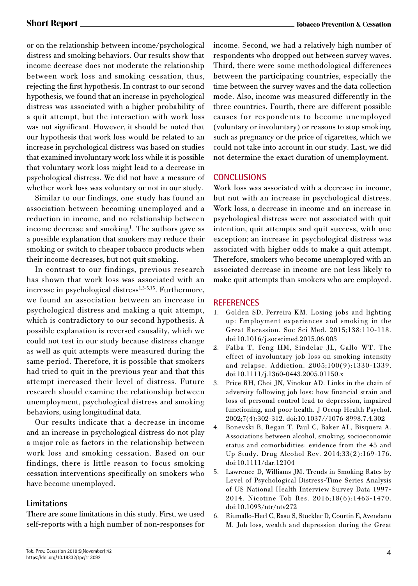or on the relationship between income/psychological distress and smoking behaviors. Our results show that income decrease does not moderate the relationship between work loss and smoking cessation, thus, rejecting the first hypothesis. In contrast to our second hypothesis, we found that an increase in psychological distress was associated with a higher probability of a quit attempt, but the interaction with work loss was not significant. However, it should be noted that our hypothesis that work loss would be related to an increase in psychological distress was based on studies that examined involuntary work loss while it is possible that voluntary work loss might lead to a decrease in psychological distress. We did not have a measure of whether work loss was voluntary or not in our study.

Similar to our findings, one study has found an association between becoming unemployed and a reduction in income, and no relationship between income decrease and smoking<sup>1</sup>. The authors gave as a possible explanation that smokers may reduce their smoking or switch to cheaper tobacco products when their income decreases, but not quit smoking.

In contrast to our findings, previous research has shown that work loss was associated with an increase in psychological distress<sup>1,3-5,15</sup>. Furthermore, we found an association between an increase in psychological distress and making a quit attempt, which is contradictory to our second hypothesis. A possible explanation is reversed causality, which we could not test in our study because distress change as well as quit attempts were measured during the same period. Therefore, it is possible that smokers had tried to quit in the previous year and that this attempt increased their level of distress. Future research should examine the relationship between unemployment, psychological distress and smoking behaviors, using longitudinal data.

Our results indicate that a decrease in income and an increase in psychological distress do not play a major role as factors in the relationship between work loss and smoking cessation. Based on our findings, there is little reason to focus smoking cessation interventions specifically on smokers who have become unemployed.

# **Limitations**

There are some limitations in this study. First, we used self-reports with a high number of non-responses for income. Second, we had a relatively high number of respondents who dropped out between survey waves. Third, there were some methodological differences between the participating countries, especially the time between the survey waves and the data collection mode. Also, income was measured differently in the three countries. Fourth, there are different possible causes for respondents to become unemployed (voluntary or involuntary) or reasons to stop smoking, such as pregnancy or the price of cigarettes, which we could not take into account in our study. Last, we did not determine the exact duration of unemployment.

# **CONCLUSIONS**

Work loss was associated with a decrease in income, but not with an increase in psychological distress. Work loss, a decrease in income and an increase in psychological distress were not associated with quit intention, quit attempts and quit success, with one exception; an increase in psychological distress was associated with higher odds to make a quit attempt. Therefore, smokers who become unemployed with an associated decrease in income are not less likely to make quit attempts than smokers who are employed.

# **REFERENCES**

- 1. Golden SD, Perreira KM. Losing jobs and lighting up: Employment experiences and smoking in the Great Recession. Soc Sci Med. 2015;138:110-118. doi:10.1016/j.socscimed.2015.06.003
- 2. Falba T, Teng HM, Sindelar JL, Gallo WT. The effect of involuntary job loss on smoking intensity and relapse. Addiction. 2005;100(9):1330-1339. doi:10.1111/j.1360-0443.2005.01150.x
- 3. Price RH, Choi JN, Vinokur AD. Links in the chain of adversity following job loss: how financial strain and loss of personal control lead to depression, impaired functioning, and poor health. J Occup Health Psychol. 2002;7(4):302-312. doi:10.1037//1076-8998.7.4.302
- 4. Bonevski B, Regan T, Paul C, Baker AL, Bisquera A. Associations between alcohol, smoking, socioeconomic status and comorbidities: evidence from the 45 and Up Study. Drug Alcohol Rev. 2014;33(2):169-176. doi:10.1111/dar.12104
- 5. Lawrence D, Williams JM. Trends in Smoking Rates by Level of Psychological Distress-Time Series Analysis of US National Health Interview Survey Data 1997- 2014. Nicotine Tob Res. 2016;18(6):1463-1470. doi:10.1093/ntr/ntv272
- 6. Riumallo-Herl C, Basu S, Stuckler D, Courtin E, Avendano M. Job loss, wealth and depression during the Great